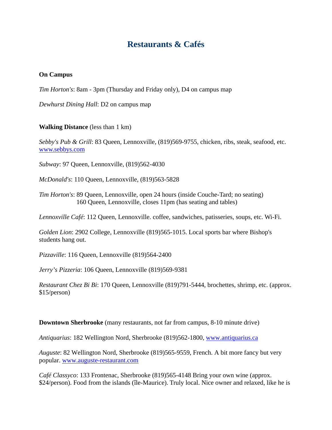## **Restaurants & Cafés**

## **On Campus**

*Tim Horton's*: 8am - 3pm (Thursday and Friday only), D4 on campus map

*Dewhurst Dining Hall*: D2 on campus map

## **Walking Distance** (less than 1 km)

*Sebby's Pub & Grill*: 83 Queen, Lennoxville, (819)569-9755, chicken, ribs, steak, seafood, etc. www.sebbys.com

*Subway*: 97 Queen, Lennoxville, (819)562-4030

*McDonald's*: 110 Queen, Lennoxville, (819)563-5828

*Tim Horton's*: 89 Queen, Lennoxville, open 24 hours (inside Couche-Tard; no seating) 160 Queen, Lennoxville, closes 11pm (has seating and tables)

*Lennoxville Café*: 112 Queen, Lennoxville. coffee, sandwiches, patisseries, soups, etc. Wi-Fi.

*Golden Lion*: 2902 College, Lennoxville (819)565-1015. Local sports bar where Bishop's students hang out.

*Pizzaville*: 116 Queen, Lennoxville (819)564-2400

*Jerry's Pizzeria*: 106 Queen, Lennoxville (819)569-9381

*Restaurant Chez Bi Bi*: 170 Queen, Lennoxville (819)791-5444, brochettes, shrimp, etc. (approx. \$15/person)

**Downtown Sherbrooke** (many restaurants, not far from campus, 8-10 minute drive)

*Antiquarius*: 182 Wellington Nord, Sherbrooke (819)562-1800, www.antiquarius.ca

*Auguste*: 82 Wellington Nord, Sherbrooke (819)565-9559, French. A bit more fancy but very popular. www.auguste-restaurant.com

*Café Classyco*: 133 Frontenac, Sherbrooke (819)565-4148 Bring your own wine (approx. \$24/person). Food from the islands (île-Maurice). Truly local. Nice owner and relaxed, like he is